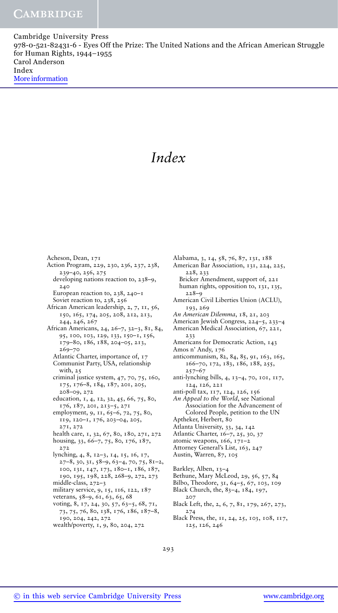Cambridge University Press 978-0-521-82431-6 - Eyes Off the Prize: The United Nations and the African American Struggle for Human Rights, 1944–1955 Carol Anderson Index More information

# *Index*

Acheson, Dean, 171 Action Program, 229, 230, 236, 237, 238, 239–40, 256, 275 developing nations reaction to, 238–9, 240 European reaction to, 238, 240–1 Soviet reaction to, 238, 256 African American leadership, 2, 7, 11, 56, 150, 165, 174, 205, 208, 212, 213, 244, 246, 267 African Americans, 24, 26–7, 32–3, 81, 84, 95, 100, 103, 129, 133, 150–1, 156, 179–80, 186, 188, 204–05, 213, 269–70 Atlantic Charter, importance of, 17 Communist Party, USA, relationship with, 25 criminal justice system, 47, 70, 75, 160, 175, 176–8, 184, 187, 201, 205, 208–09, 272 education, 1, 4, 12, 32, 45, 66, 75, 80, 176, 187, 201, 213–5, 271 employment, 9, 11, 65-6, 72, 75, 80, 119, 120–1, 176, 203–04, 205, 271, 272 health care, 1, 32, 67, 80, 180, 271, 272 housing, 33, 66–7, 75, 80, 176, 187, 272 lynching, 4, 8, 12–3, 14, 15, 16, 17, 27–8, 30, 31, 58–9, 63–4, 70, 75, 81–2, 100, 131, 147, 173, 180–1, 186, 187, 190, 195, 198, 228, 268–9, 272, 273 middle-class, 272–3 military service, 9, 15, 116, 122, 187 veterans, 58–9, 61, 63, 65, 68 voting, 8, 17, 24, 30, 57, 63–5, 68, 71, 73, 75, 76, 80, 138, 176, 186, 187–8, 190, 204, 242, 272 wealth/poverty, 1, 9, 80, 204, 272

Alabama, 3, 14, 58, 76, 87, 131, 188 American Bar Association, 131, 224, 225, 228, 233 Bricker Amendment, support of, 221 human rights, opposition to, 131, 135, 228–9 American Civil Liberties Union (ACLU), 193, 269 *An American Dilemma*, 18, 21, 203 American Jewish Congress, 224–5, 233–4 American Medical Association, 67, 221, 233 Americans for Democratic Action, 143 Amos n' Andy, 176 anticommunism, 82, 84, 85, 91, 163, 165, 166–70, 172, 183, 186, 188, 255, 257–67 anti-lynching bills, 4, 13–4, 70, 101, 117, 124, 126, 221 anti-poll tax, 117, 124, 126, 156 *An Appeal to the World*, see National Association for the Advancement of Colored People, petition to the UN Aptheker, Herbert, 80 Atlanta University, 33, 34, 142 Atlantic Charter, 16–7, 25, 30, 37 atomic weapons, 166, 171–2 Attorney General's List, 163, 247 Austin, Warren, 87, 105 Barkley, Alben, 13–4 Bethune, Mary McLeod, 29, 56, 57, 84 Bilbo, Theodore, 31, 64–5, 67, 103, 109 Black Church, the, 83–4, 184, 197, 207 Black Left, the, 2, 6, 7, 81, 179, 267, 273, 274

Black Press, the, 11, 24, 25, 103, 108, 117, 125, 126, 246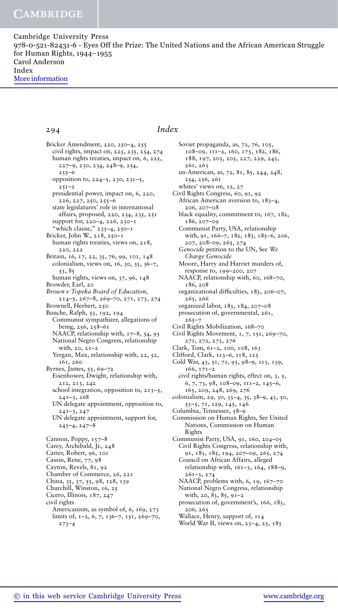Cambridge University Press 978-0-521-82431-6 - Eyes Off the Prize: The United Nations and the African American Struggle for Human Rights, 1944–1955 Carol Anderson Index More information

### 294 *Index*

Bricker Amendment, 220, 250–4, 255 civil rights, impact on, 225, 235, 254, 274 human rights treaties, impact on, 6, 225, 227–9, 230, 234, 248–9, 254,  $255 - 6$ opposition to, 224–5, 230, 231–5,  $251 - 2$ presidential power, impact on, 6, 220, 226, 227, 250, 255–6 state legislatures' role in international affairs, proposed, 220, 234, 235, 251 support for, 220–4, 226, 230–1 "which clause," 233–4, 250–1 Bricker, John W., 218, 250–1 human rights treaties, views on, 218, 220, 222 Britain, 16, 17, 22, 35, 76, 99, 101, 148 colonialism, views on, 16, 30, 35, 36–7, 53, 85 human rights, views on, 37, 96, 148 Browder, Earl, 20 *Brown v Topeka Board of Education*, 214–5, 267–8, 269–70, 271, 273, 274 Brownell, Herbert, 250 Bunche, Ralph, 53, 192, 194 Communist sympathizer, allegations of being, 256, 258–61 NAACP, relationship with, 17-8, 54, 93 National Negro Congress, relationship with, 20, 21–2 Yergan, Max, relationship with, 22, 52, 161, 260 Byrnes, James, 55, 69–72 Eisenhower, Dwight, relationship with, 212, 213, 242 school integration, opposition to, 213–5, 241–3, 268 UN delegate appointment, opposition to, 241–3, 247 UN delegate appointment, support for, 243–4, 247–8 Cannon, Poppy, 157–8 Carey, Archibald, Jr., 248 Carter, Robert, 96, 101 Cassin, Rene, 77, 98 Cayton, Revels, 81, 92 Chamber of Commerce, 26, 221 China, 35, 37, 53, 98, 128, 139 Churchill, Winston, 16, 25 Cicero, Illinois, 187, 247 civil rights Americanism, as symbol of, 6, 169, 273 limits of, 1–2, 6, 7, 136–7, 151, 269–70, 273–4

Soviet propaganda, as, 72, 76, 105, 108–09, 111–2, 160, 175, 182, 186, 188, 197, 203, 205, 227, 229, 243, 261, 263 un-American, as, 72, 81, 85, 244, 248, 254, 256, 261 whites' views on, 12, 27 Civil Rights Congress, 60, 91, 92 African American aversion to, 183–4, 206, 207–08 black equality, commitment to, 167, 182, 186, 207–09 Communist Party, USA, relationship with, 91, 166–7, 182, 183, 185–6, 206, 207, 208–09, 265, 274 *Genocide* petition to the UN, See *We Charge Genocide* Moore, Harry and Harriet murders of, response to, 199–200, 207 NAACP, relationship with, 60, 168-70, 186, 208 organizational difficulties, 183, 206–07, 265, 266 organized labor, 183, 184, 207–08 prosecution of, governmental, 261,  $265 - 7$ Civil Rights Mobilization, 168–70 Civil Rights Movement, 1, 7, 151, 269–70, 271, 272, 273, 276 Clark, Tom, 61–2, 100, 108, 163 Clifford, Clark, 113–6, 118, 125 Cold War, 43, 51, 71, 93, 98–9, 113, 139, 166, 171–2 civil rights/human rights, effect on, 3, 5, 6, 7, 73, 98, 108–09, 111–2, 145–6, 165, 209, 248, 269, 276 colonialism, 29, 30, 33–4, 35, 38–9, 43, 50, 53–5, 71, 129, 145, 146 Columbia, Tennessee, 58–9 Commission on Human Rights, See United Nations, Commission on Human Rights Communist Party, USA, 91, 160, 204–05 Civil Rights Congress, relationship with, 91, 183, 185, 194, 207–09, 265, 274 Council on African Affairs, alleged relationship with, 161–3, 164, 188–9, 261–3, 274 NAACP, problems with, 6, 19, 167-70 National Negro Congress, relationship with, 20, 83, 85, 91–2 prosecution of, government's, 166, 183, 206, 265 Wallace, Henry, support of, 114 World War II, views on, 23–4, 25, 183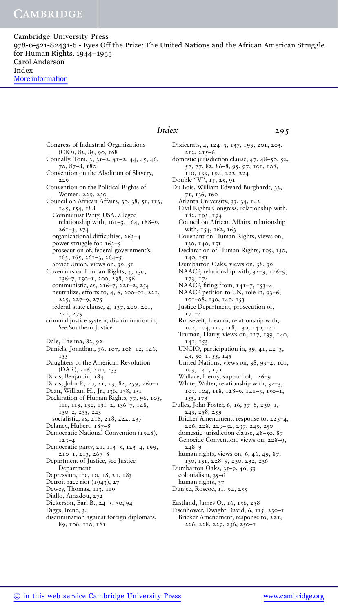Cambridge University Press 978-0-521-82431-6 - Eyes Off the Prize: The United Nations and the African American Struggle for Human Rights, 1944–1955 Carol Anderson Index More information

### Congress of Industrial Organizations  $(CIO)$ , 82, 85, 90, 168 Connally, Tom, 3, 31–2, 41–2, 44, 45, 46, 70, 87–8, 180 Convention on the Abolition of Slavery, 229 Convention on the Political Rights of Women, 229, 230 Council on African Affairs, 30, 38, 51, 113, 145, 154, 188 Communist Party, USA, alleged relationship with, 161–3, 164, 188–9, 261–3, 274 organizational difficulties, 263–4 power struggle for, 163–5 prosecution of, federal government's, 163, 165, 261–3, 264–5 Soviet Union, views on, 39, 51 Covenants on Human Rights, 4, 130, 136–7, 150–1, 200, 238, 256 communistic, as, 216–7, 221–2, 254 neutralize, efforts to, 4, 6, 200–01, 221, 225, 227–9, 275 federal-state clause, 4, 137, 200, 201, 221, 275 criminal justice system, discrimination in, See Southern Justice Dale, Thelma, 82, 92 Daniels, Jonathan, 76, 107, 108–12, 146, 155 Daughters of the American Revolution (DAR), 216, 220, 233 Davis, Benjamin, 184 Davis, John P., 20, 21, 23, 82, 259, 260-1 Dean, William H., Jr., 136, 138, 151 Declaration of Human Rights, 77, 96, 105, 111, 113, 130, 131–2, 136–7, 148, 150–2, 235, 243 socialistic, as, 216, 218, 222, 237 Delaney, Hubert, 187–8 Democratic National Convention (1948), 123–4 Democratic party, 21, 113–5, 123–4, 199, 210–1, 213, 267–8 Department of Justice, see Justice Department Depression, the, 10, 18, 21, 183 Detroit race riot (1943), 27 Dewey, Thomas, 113, 119 Diallo, Amadou, 272 Dickerson, Earl B., 24–5, 30, 94 Diggs, Irene, 34 discrimination against foreign diplomats, 89, 106, 110, 181

### *Index* 295

Dixiecrats, 4, 124–5, 137, 199, 201, 203, 212, 215–6 domestic jurisdiction clause, 47, 48–50, 52, 57, 77, 82, 86–8, 95, 97, 101, 108, 110, 133, 194, 222, 224 Double "V", 15, 25, 91 Du Bois, William Edward Burghardt, 33, 71, 136, 160 Atlanta University, 33, 34, 142 Civil Rights Congress, relationship with, 182, 193, 194 Council on African Affairs, relationship with, 154, 162, 163 Covenant on Human Rights, views on, 130, 140, 151 Declaration of Human Rights, 105, 130, 140, 151 Dumbarton Oaks, views on, 38, 39 NAACP, relationship with, 32–3, 126–9, 173, 174 NAACP, firing from, 141–7, 153–4 NAACP petition to UN, role in, 93–6, 101–08, 130, 140, 153 Justice Department, prosecution of, 171–4 Roosevelt, Eleanor, relationship with, 102, 104, 112, 118, 130, 140, 141 Truman, Harry, views on, 127, 139, 140, 141, 153 UNCIO, participation in, 39, 41, 42–3, 49, 50–1, 55, 145 United Nations, views on, 38, 93–4, 101, 103, 141, 171 Wallace, Henry, support of, 126–9 White, Walter, relationship with, 32–3, 103, 104, 118, 128–9, 141–3, 150–1, 153, 173 Dulles, John Foster, 6, 16, 37–8, 230–1, 243, 258, 259 Bricker Amendment, response to, 223–4, 226, 228, 229–32, 237, 249, 250 domestic jurisdiction clause, 48–50, 87 Genocide Convention, views on, 228–9, 248–9 human rights, views on, 6, 46, 49, 87, 130, 131, 228–9, 230, 232, 236 Dumbarton Oaks, 35–9, 46, 53 colonialism, 35–6 human rights, 37 Dunjee, Roscoe, 11, 94, 255 Eastland, James O., 16, 156, 258 Eisenhower, Dwight David, 6, 115, 230–1 Bricker Amendment, response to, 221, 226, 228, 229, 236, 250–1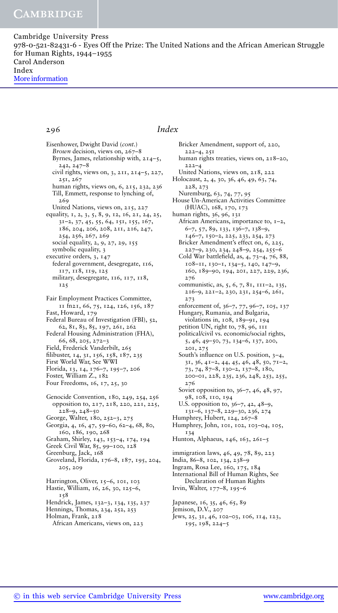Cambridge University Press 978-0-521-82431-6 - Eyes Off the Prize: The United Nations and the African American Struggle for Human Rights, 1944–1955 Carol Anderson Index More information

### 296 *Index*

Eisenhower, Dwight David (*cont.*) *Brown* decision, views on, 267-8 Byrnes, James, relationship with, 214–5, 242, 247–8 civil rights, views on, 3, 211, 214–5, 227, 251, 267 human rights, views on, 6, 215, 232, 236 Till, Emmett, response to lynching of, 269 United Nations, views on, 215, 227 equality, 1, 2, 3, 5, 8, 9, 12, 16, 21, 24, 25, 31–2, 37, 45, 55, 64, 151, 155, 167, 186, 204, 206, 208, 211, 216, 247, 254, 256, 267, 269 social equality, 2, 9, 27, 29, 155 symbolic equality, 3 executive orders, 3, 147 federal government, desegregate, 116, 117, 118, 119, 125 military, desegregate, 116, 117, 118, 125 Fair Employment Practices Committee, 11 fn21, 66, 75, 124, 126, 156, 187 Fast, Howard, 179 Federal Bureau of Investigation (FBI), 52, 62, 81, 83, 85, 197, 261, 262 Federal Housing Administration (FHA), 66, 68, 205, 272–3 Field, Frederick Vanderbilt, 265 filibuster, 14, 31, 156, 158, 187, 235 First World War, See WWI Florida, 13, 14, 176–7, 195–7, 206 Foster, William Z., 182 Four Freedoms, 16, 17, 25, 30 Genocide Convention, 180, 249, 254, 256 opposition to, 217, 218, 220, 221, 225,  $228-9, 248-50$ George, Walter, 180, 252–3, 275 Georgia, 4, 16, 47, 59–60, 62–4, 68, 80, 160, 186, 190, 268 Graham, Shirley, 143, 153–4, 174, 194 Greek Civil War, 85, 99–100, 128 Greenburg, Jack, 168 Groveland, Florida, 176–8, 187, 195, 204, 205, 209 Harrington, Oliver, 15-6, 101, 103 Hastie, William, 16, 26, 30, 125–6, 158 Hendrick, James, 132–3, 134, 135, 237 Hennings, Thomas, 234, 252, 253 Holman, Frank, 218 African Americans, views on, 223

Bricker Amendment, support of, 220, 222–4, 251 human rights treaties, views on, 218–20,  $222 - 4$ United Nations, views on, 218, 222 Holocaust, 2, 4, 30, 36, 46, 49, 63, 74, 228, 273 Nuremburg, 63, 74, 77, 95 House Un-American Activities Committee (HUAC), 168, 170, 173 human rights, 36, 96, 131 African Americans, importance to, 1–2, 6–7, 57, 89, 133, 136–7, 138–9, 146–7, 150–2, 225, 233, 254, 273 Bricker Amendment's effect on, 6, 225, 227–9, 230, 234, 248–9, 254, 255–6 Cold War battlefield, as, 4, 73–4, 76, 88, 108–11, 130–1, 134–5, 140, 147–9, 160, 189–90, 194, 201, 227, 229, 236, 276 communistic, as, 5, 6, 7, 81, 111–2, 135, 216–9, 221–2, 230, 231, 254–6, 261, 273 enforcement of, 36–7, 77, 96–7, 105, 137 Hungary, Rumania, and Bulgaria, violations in, 108, 189–91, 194 petition UN, right to, 78, 96, 111 political/civil vs. economic/social rights, 5, 46, 49–50, 73, 134–6, 137, 200, 201, 275 South's influence on U.S. position, 3–4, 31, 36, 41–2, 44, 45, 46, 48, 50, 71–2, 73, 74, 87–8, 130–2, 137–8, 180, 200–01, 228, 235, 236, 248, 253, 255, 276 Soviet opposition to, 36–7, 46, 48, 97, 98, 108, 110, 194 U.S. opposition to, 36–7, 42, 48–9, 131–6, 137–8, 229–30, 236, 274 Humphrey, Hubert, 124, 267–8 Humphrey, John, 101, 102, 103–04, 105, 134 Hunton, Alphaeus, 146, 163, 261-5 immigration laws, 46, 49, 78, 89, 223 India, 86–8, 102, 134, 238–9 Ingram, Rosa Lee, 160, 175, 184 International Bill of Human Rights, See Declaration of Human Rights Irvin, Walter, 177–8, 195–6 Japanese, 16, 35, 46, 65, 89

Jemison, D.V., 207 Jews, 25, 31, 46, 102–03, 106, 114, 123, 195, 198, 224–5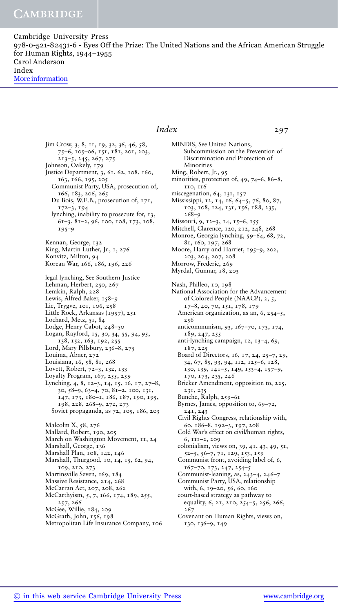Cambridge University Press 978-0-521-82431-6 - Eyes Off the Prize: The United Nations and the African American Struggle for Human Rights, 1944–1955 Carol Anderson Index More information

### *Index* 297

Jim Crow, 3, 8, 11, 19, 32, 36, 46, 58, 75–6, 105–06, 151, 181, 201, 203, 213–5, 245, 267, 275 Johnson, Oakely, 179 Justice Department, 3, 61, 62, 108, 160, 163, 166, 195, 205 Communist Party, USA, prosecution of, 166, 183, 206, 265 Du Bois, W.E.B., prosecution of, 171, 172–3, 194 lynching, inability to prosecute for, 13, 61–3, 81–2, 96, 100, 108, 173, 108, 195–9 Kennan, George, 132 King, Martin Luther, Jr., 1, 276 Konvitz, Milton, 94 Korean War, 166, 186, 196, 226 legal lynching, See Southern Justice Lehman, Herbert, 250, 267 Lemkin, Ralph, 228 Lewis, Alfred Baker, 158-9 Lie, Trygve, 101, 106, 258 Little Rock, Arkansas (1957), 251 Lochard, Metz, 51, 84 Lodge, Henry Cabot, 248–50 Logan, Rayford, 15, 30, 34, 55, 94, 95, 138, 152, 163, 192, 255 Lord, Mary Pillsbury, 236–8, 275 Louima, Abner, 272 Louisiana, 16, 58, 81, 268 Lovett, Robert, 72–3, 132, 133 Loyalty Program, 167, 255, 259 Lynching, 4, 8, 12–3, 14, 15, 16, 17, 27–8, 30, 58–9, 63–4, 70, 81–2, 100, 131, 147, 173, 180–1, 186, 187, 190, 195, 198, 228, 268–9, 272, 273 Soviet propaganda, as 72, 105, 186, 203 Malcolm X, 58, 276 Mallard, Robert, 190, 205 March on Washington Movement, 11, 24 Marshall, George, 136 Marshall Plan, 108, 142, 146 Marshall, Thurgood, 10, 14, 15, 62, 94, 109, 210, 273 Martinsville Seven, 169, 184 Massive Resistance, 214, 268 McCarran Act, 207, 208, 262 McCarthyism, 5, 7, 166, 174, 189, 255, 257, 266 McGee, Willie, 184, 209 McGrath, John, 156, 198 Metropolitan Life Insurance Company, 106

MINDIS, See United Nations, Subcommission on the Prevention of Discrimination and Protection of **Minorities** Ming, Robert, Jr., 95 minorities, protection of, 49, 74–6, 86–8, 110, 116 miscegenation, 64, 131, 157 Mississippi, 12, 14, 16, 64–5, 76, 80, 87, 103, 108, 124, 131, 156, 188, 235, 268–9 Missouri, 9, 12–3, 14, 15–6, 155 Mitchell, Clarence, 120, 212, 248, 268 Monroe, Georgia lynching, 59–64, 68, 72, 81, 160, 197, 268 Moore, Harry and Harriet, 195–9, 202, 203, 204, 207, 208 Morrow, Frederic, 269 Myrdal, Gunnar, 18, 203 Nash, Philleo, 10, 198 National Association for the Advancement of Colored People (NAACP), 2, 5, 17–8, 40, 70, 151, 178, 179 American organization, as an, 6, 254–5, 256 anticommunism, 93, 167–70, 173, 174, 189, 247, 255 anti-lynching campaign, 12, 13–4, 69, 187, 225 Board of Directors, 16, 17, 24, 25–7, 29, 34, 67, 85, 93, 94, 112, 125–6, 128, 130, 139, 141–5, 149, 153–4, 157–9, 170, 173, 235, 246 Bricker Amendment, opposition to, 225, 231, 235 Bunche, Ralph, 259–61 Byrnes, James, opposition to, 69–72, 241, 243 Civil Rights Congress, relationship with, 60, 186–8, 192–3, 197, 208 Cold War's effect on civil/human rights, 6, 111–2, 209 colonialism, views on, 39, 41, 43, 49, 51, 52–5, 56–7, 71, 129, 153, 159 Communist front, avoiding label of, 6, 167–70, 173, 247, 254–5 Communist-leaning, as, 243–4, 246–7 Communist Party, USA, relationship with, 6, 19–20, 56, 60, 160 court-based strategy as pathway to equality, 6, 21, 210, 254–5, 256, 266, 267 Covenant on Human Rights, views on, 130, 136–9, 149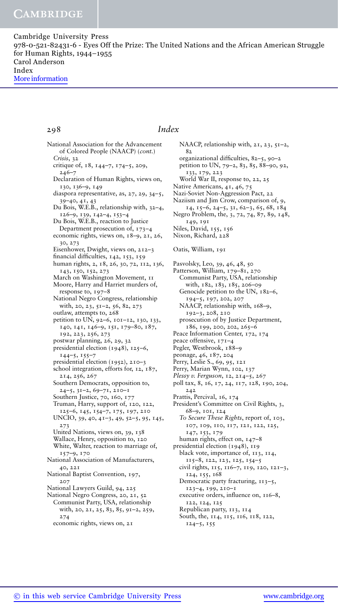Cambridge University Press 978-0-521-82431-6 - Eyes Off the Prize: The United Nations and the African American Struggle for Human Rights, 1944–1955 Carol Anderson Index More information

### 298 *Index*

National Association for the Advancement of Colored People (NAACP) (*cont.*) *Crisis*, 32 critique of, 18, 144–7, 174–5, 209, 246–7 Declaration of Human Rights, views on, 130, 136–9, 149 diaspora representative, as, 27, 29, 34–5, 39–40, 41, 43 Du Bois, W.E.B., relationship with, 32–4, 126–9, 139, 142–4, 153–4 Du Bois, W.E.B., reaction to Justice Department prosecution of, 173–4 economic rights, views on, 18–9, 21, 26, 30, 273 Eisenhower, Dwight, views on, 212–3 financial difficulties, 142, 153, 159 human rights, 2, 18, 26, 30, 72, 112, 136, 143, 150, 152, 273 March on Washington Movement, 11 Moore, Harry and Harriet murders of, response to, 197–8 National Negro Congress, relationship with, 20, 23, 51–2, 56, 82, 273 outlaw, attempts to, 268 petition to UN, 92–6, 101–12, 130, 133, 140, 141, 146–9, 151, 179–80, 187, 192, 223, 256, 273 postwar planning, 26, 29, 32 presidential election (1948), 125–6, 144–5, 155–7 presidential election (1952), 210–3 school integration, efforts for, 12, 187, 214, 256, 267 Southern Democrats, opposition to, 24–5, 31–2, 69–71, 210–1 Southern Justice, 70, 160, 177 Truman, Harry, support of, 120, 122, 125–6, 145, 154–7, 175, 197, 210 UNCIO, 39, 40, 41–3, 49, 52–5, 95, 145, 273 United Nations, views on, 39, 138 Wallace, Henry, opposition to, 120 White, Walter, reaction to marriage of, 157–9, 170 National Association of Manufacturers, 40, 221 National Baptist Convention, 197, 207 National Lawyers Guild, 94, 225 National Negro Congress, 20, 21, 52 Communist Party, USA, relationship with, 20, 21, 25, 83, 85, 91–2, 259, 274 economic rights, views on, 21

NAACP, relationship with, 21, 23, 51-2, 82 organizational difficulties, 82–5, 90–2 petition to UN, 79–2, 83, 85, 88–90, 92, 133, 179, 223 World War II, response to, 22, 25 Native Americans, 41, 46, 75 Nazi-Soviet Non-Aggression Pact, 22 Naziism and Jim Crow, comparison of, 9, 14, 15–6, 24–5, 31, 62–3, 65, 68, 184 Negro Problem, the, 3, 72, 74, 87, 89, 148, 149, 191 Niles, David, 155, 156 Nixon, Richard, 228 Oatis, William, 191 Pasvolsky, Leo, 39, 46, 48, 50 Patterson, William, 179–81, 270 Communist Party, USA, relationship with, 182, 183, 185, 206–09 Genocide petition to the UN, 182–6, 194–5, 197, 202, 207 NAACP, relationship with, 168-9, 192–3, 208, 210 prosecution of by Justice Department, 186, 199, 200, 202, 265–6 Peace Information Center, 172, 174 peace offensive, 171–4 Pegler, Westbrook, 188–9 peonage, 46, 187, 204 Perry, Leslie S., 69, 95, 121 Perry, Marian Wynn, 102, 137 *Plessy v. Ferguson*, 12, 214–5, 267 poll tax, 8, 16, 17, 24, 117, 128, 190, 204, 242 Prattis, Percival, 16, 174 President's Committee on Civil Rights, 3, 68–9, 101, 124 *To Secure These Rights*, report of, 103, 107, 109, 110, 117, 121, 122, 125, 147, 153, 179 human rights, effect on, 147–8 presidential election (1948), 119 black vote, importance of, 113, 114, 115–8, 122, 123, 125, 154–5 civil rights, 115, 116–7, 119, 120, 121–3, 124, 155, 168 Democratic party fracturing, 113–5, 123–4, 199, 210–1 executive orders, influence on, 116–8, 122, 124, 125 Republican party, 113, 114 South, the, 114, 115, 116, 118, 122, 124–5, 155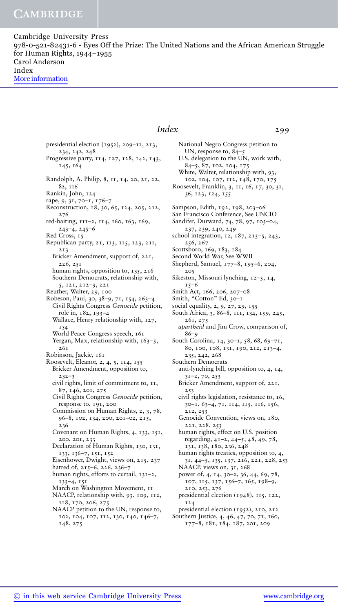Cambridge University Press 978-0-521-82431-6 - Eyes Off the Prize: The United Nations and the African American Struggle for Human Rights, 1944–1955 Carol Anderson Index More information

### *Index* 299

presidential election (1952), 209–11, 213, 234, 242, 248 Progressive party, 114, 127, 128, 142, 143, 145, 164 Randolph, A. Philip, 8, 11, 14, 20, 21, 22, 82, 116 Rankin, John, 124 rape, 9, 31, 70–1, 176–7 Reconstruction, 18, 30, 65, 124, 205, 212, 276 red-baiting, 111–2, 114, 160, 163, 169, 243–4, 245–6 Red Cross, 15 Republican party, 21, 113, 115, 123, 211, 213 Bricker Amendment, support of, 221, 226, 251 human rights, opposition to, 135, 216 Southern Democrats, relationship with, 5, 121, 212–3, 221 Reuther, Walter, 29, 100 Robeson, Paul, 30, 38–9, 71, 154, 263–4 Civil Rights Congress *Genocide* petition, role in, 182, 193–4 Wallace, Henry relationship with, 127, 154 World Peace Congress speech, 161 Yergan, Max, relationship with, 163-5, 261 Robinson, Jackie, 161 Roosevelt, Eleanor, 2, 4, 5, 114, 155 Bricker Amendment, opposition to, 232–3 civil rights, limit of commitment to, 11, 87, 146, 201, 275 Civil Rights Congress *Genocide* petition, response to, 191, 200 Commission on Human Rights, 2, 3, 78, 96–8, 102, 134, 200, 201–02, 215, 236 Covenant on Human Rights, 4, 133, 151, 200, 201, 233 Declaration of Human Rights, 130, 131, 133, 136–7, 151, 152 Eisenhower, Dwight, views on, 215, 237 hatred of, 215–6, 226, 236–7 human rights, efforts to curtail, 131–2, 133–4, 151 March on Washington Movement, 11 NAACP, relationship with, 93, 109, 112, 118, 170, 206, 275 NAACP petition to the UN, response to, 102, 104, 107, 112, 130, 140, 146–7, 148, 275

National Negro Congress petition to UN, response to, 84–5 U.S. delegation to the UN, work with, 84–5, 87, 102, 104, 175 White, Walter, relationship with, 93, 102, 104, 107, 112, 148, 170, 175 Roosevelt, Franklin, 3, 11, 16, 17, 30, 31, 36, 123, 124, 155 Sampson, Edith, 192, 198, 203–06 San Francisco Conference, See UNCIO Sandifer, Durward, 74, 78, 97, 103–04, 237, 239, 240, 249 school integration, 12, 187, 213–5, 243, 256, 267 Scottsboro, 169, 183, 184 Second World War, See WWII Shepherd, Samuel, 177–8, 195–6, 204, 205 Sikeston, Missouri lynching, 12–3, 14,  $T5–6$ Smith Act, 166, 206, 207–08 Smith, "Cotton" Ed, 30–1 social equality, 2, 9, 27, 29, 155 South Africa, 3, 86–8, 111, 134, 159, 245, 261, 275 *apartheid* and Jim Crow, comparison of, 86–9 South Carolina, 14, 30–1, 58, 68, 69–71, 80, 100, 108, 131, 190, 212, 213–4, 235, 242, 268 Southern Democrats anti-lynching bill, opposition to, 4, 14, 31–2, 70, 253 Bricker Amendment, support of, 221, 253 civil rights legislation, resistance to, 16, 30–1, 63–4, 71, 114, 115, 116, 156, 212, 253 Genocide Convention, views on, 180, 221, 228, 253 human rights, effect on U.S. position regarding, 41–2, 44–5, 48, 49, 78, 131, 138, 180, 236, 248 human rights treaties, opposition to, 4, 31, 44–5, 135, 137, 216, 221, 228, 253 NAACP, views on, 31, 268 power of, 4, 14, 30–2, 36, 44, 69, 78, 107, 115, 137, 156–7, 165, 198–9, 210, 253, 276 presidential election (1948), 115, 122, 124 presidential election (1952), 210, 212 Southern Justice, 4, 46, 47, 70, 71, 160, 177–8, 181, 184, 187, 201, 209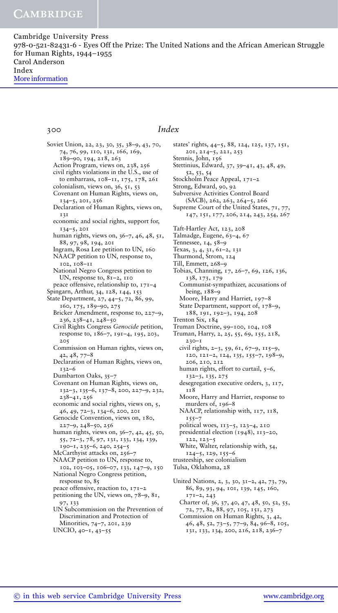Cambridge University Press 978-0-521-82431-6 - Eyes Off the Prize: The United Nations and the African American Struggle for Human Rights, 1944–1955 Carol Anderson Index More information

### 300 *Index*

Soviet Union, 22, 23, 30, 35, 38–9, 43, 70, 74, 76, 99, 110, 131, 166, 169, 189–90, 194, 218, 263 Action Program, views on, 238, 256 civil rights violations in the U.S., use of to embarrass, 108–11, 175, 178, 261 colonialism, views on, 36, 51, 53 Covenant on Human Rights, views on, 134–5, 201, 256 Declaration of Human Rights, views on, 131 economic and social rights, support for, 134–5, 201 human rights, views on, 36–7, 46, 48, 51, 88, 97, 98, 194, 201 Ingram, Rosa Lee petition to UN, 160 NAACP petition to UN, response to, 102, 108–11 National Negro Congress petition to UN, response to, 81–2, 110 peace offensive, relationship to, 171–4 Spingarn, Arthur, 34, 128, 144, 153 State Department, 27, 44–5, 72, 86, 99, 160, 175, 189–90, 275 Bricker Amendment, response to, 227–9, 236, 238–41, 248–50 Civil Rights Congress *Genocide* petition, response to, 186–7, 191–4, 195, 203, 205 Commission on Human rights, views on, 42, 48, 77–8 Declaration of Human Rights, views on, 132–6 Dumbarton Oaks, 35–7 Covenant on Human Rights, views on, 132–3, 135–6, 137–8, 200, 227–9, 232, 238–41, 256 economic and social rights, views on, 5, 46, 49, 72–3, 134–6, 200, 201 Genocide Convention, views on, 180,  $227-9, 248-50, 256$ human rights, views on, 36–7, 42, 45, 50, 55, 72–3, 78, 97, 131, 133, 134, 139, 190–1, 235–6, 240, 254–5 McCarthyist attacks on, 256–7 NAACP petition to UN, response to, 102, 103–05, 106–07, 133, 147–9, 150 National Negro Congress petition, response to, 85 peace offensive, reaction to, 171–2 petitioning the UN, views on, 78–9, 81, 97, 133 UN Subcommission on the Prevention of Discrimination and Protection of Minorities, 74–7, 201, 239 UNCIO, 40–1, 43–55

states' rights, 44–5, 88, 124, 125, 137, 151, 201, 214–5, 221, 253 Stennis, John, 156 Stettinius, Edward, 37, 39–41, 43, 48, 49, 52, 53, 54 Stockholm Peace Appeal, 171–2 Strong, Edward, 90, 92 Subversive Activities Control Board (SACB), 262, 263, 264–5, 266 Supreme Court of the United States, 71, 77, 147, 151, 177, 206, 214, 243, 254, 267 Taft-Hartley Act, 123, 208 Talmadge, Eugene, 63–4, 67 Tennessee, 14, 58–9 Texas, 3, 4, 31, 61–2, 131 Thurmond, Strom, 124 Till, Emmett, 268–9 Tobias, Channing, 17, 26–7, 69, 126, 136, 138, 173, 179 Communist-sympathizer, accusations of being, 188–9 Moore, Harry and Harriet, 197–8 State Department, support of, 178–9, 188, 191, 192–3, 194, 208 Trenton Six, 184 Truman Doctrine, 99–100, 104, 108 Truman, Harry, 2, 25, 55, 69, 155, 218, 230–1 civil rights, 2–3, 59, 61, 67–9, 115–9, 120, 121–2, 124, 135, 155–7, 198–9, 206, 210, 212 human rights, effort to curtail, 5–6, 132–3, 135, 275 desegregation executive orders, 3, 117, 118 Moore, Harry and Harriet, response to murders of, 196–8 NAACP, relationship with,  $117$ ,  $118$ ,  $155$ political woes, 113–5, 123–4, 210 presidential election (1948), 113–20, 122, 123–5 White, Walter, relationship with, 54, 124–5, 129, 155–6 trusteeship, see colonialism Tulsa, Oklahoma, 28 United Nations, 2, 3, 30, 31–2, 42, 73, 79, 86, 89, 93, 94, 101, 139, 145, 160, 171–2, 243

Charter of, 36, 37, 40, 47, 48, 50, 52, 55, 72, 77, 82, 88, 97, 105, 151, 273 Commission on Human Rights, 3, 42, 46, 48, 52, 73–5, 77–9, 84, 96–8, 105, 131, 133, 134, 200, 216, 218, 236–7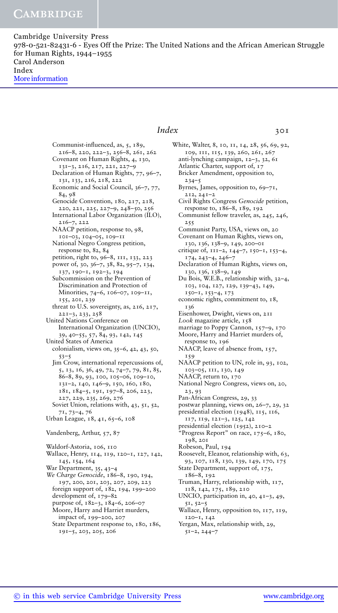Cambridge University Press 978-0-521-82431-6 - Eyes Off the Prize: The United Nations and the African American Struggle for Human Rights, 1944–1955 Carol Anderson Index More information

Communist-influenced, as, 5, 189, 216–8, 220, 222–3, 256–8, 261, 262 Covenant on Human Rights, 4, 130, 131–3, 216, 217, 221, 227–9 Declaration of Human Rights, 77, 96–7, 131, 133, 216, 218, 222 Economic and Social Council, 36–7, 77, 84, 98 Genocide Convention, 180, 217, 218, 220, 221, 225, 227–9, 248–50, 256 International Labor Organization (ILO), 216–7, 222 NAACP petition, response to, 98, 101–03, 104–05, 109–11 National Negro Congress petition, response to, 82, 84 petition, right to, 96–8, 111, 133, 223 power of, 30, 36–7, 38, 82, 95–7, 134, 137, 190–1, 192–3, 194 Subcommission on the Prevention of Discrimination and Protection of Minorities, 74–6, 106–07, 109–11, 155, 201, 239 threat to U.S. sovereignty, as, 216, 217, 221–3, 233, 258 United Nations Conference on International Organization (UNCIO), 39, 40–55, 57, 84, 93, 142, 145 United States of America colonialism, views on, 35–6, 42, 43, 50, 53–5 Jim Crow, international repercussions of, 5, 13, 16, 36, 49, 72, 74–7, 79, 81, 85, 86–8, 89, 93, 100, 105–06, 109–10, 131–2, 140, 146–9, 150, 160, 180, 181, 184–5, 191, 197–8, 206, 223, 227, 229, 235, 269, 276 Soviet Union, relations with, 43, 51, 52, 71, 73–4, 76 Urban League, 18, 41, 65–6, 108 Vandenberg, Arthur, 57, 87 Waldorf-Astoria, 106, 110 Wallace, Henry, 114, 119, 120–1, 127, 142, 145, 154, 164 War Department, 35, 43–4 *We Charge Genocide*, 186–8, 190, 194, 197, 200, 201, 203, 207, 209, 223 foreign support of, 182, 194, 199–200 development of, 179–82 purpose of, 182–3, 184–6, 206–07 .<br>Moore, Harry and Harriet murders, impact of, 199–200, 207

State Department response to, 180, 186, 191–5, 203, 205, 206

*Index* 301 White, Walter, 8, 10, 11, 14, 28, 56, 69, 92, 109, 111, 115, 139, 260, 261, 267 anti-lynching campaign, 12–3, 32, 61 Atlantic Charter, support of, 17 Bricker Amendment, opposition to,  $234 - 5$ Byrnes, James, opposition to, 69–71, 212, 241–2 Civil Rights Congress *Genocide* petition, response to, 186–8, 189, 192 Communist fellow traveler, as, 245, 246, 255 Communist Party, USA, views on, 20 Covenant on Human Rights, views on, 130, 136, 138–9, 149, 200–01 critique of, 111–2, 144–7, 150–1, 153–4, 174, 243–4, 246–7 Declaration of Human Rights, views on, 130, 136, 138–9, 149 Du Bois, W.E.B., relationship with, 32–4, 103, 104, 127, 129, 139–43, 149, 150–1, 153–4, 173 economic rights, commitment to, 18, 136 Eisenhower, Dwight, views on, 211 *Look* magazine article, 158 marriage to Poppy Cannon, 157-9, 170 Moore, Harry and Harriet murders of, response to, 196 NAACP, leave of absence from, 157, 159 NAACP petition to UN, role in, 93, 102, 103–05, 111, 130, 149 NAACP, return to, 170 National Negro Congress, views on, 20, 23, 93 Pan-African Congress, 29, 33 postwar planning, views on, 26–7, 29, 32 presidential election (1948), 115, 116, 117, 119, 121–3, 125, 142 presidential election (1952), 210–2 "Progress Report" on race, 175–6, 180, 198, 201 Robeson, Paul, 194 Roosevelt, Eleanor, relationship with, 63, 93, 107, 118, 130, 139, 149, 170, 175 State Department, support of, 175, 186–8, 192 Truman, Harry, relationship with, 117, 118, 142, 175, 189, 210 UNCIO, participation in, 40, 41–3, 49, 51, 52–5 Wallace, Henry, opposition to, 117, 119, 120–1, 142 Yergan, Max, relationship with, 29, 51–2, 244–7